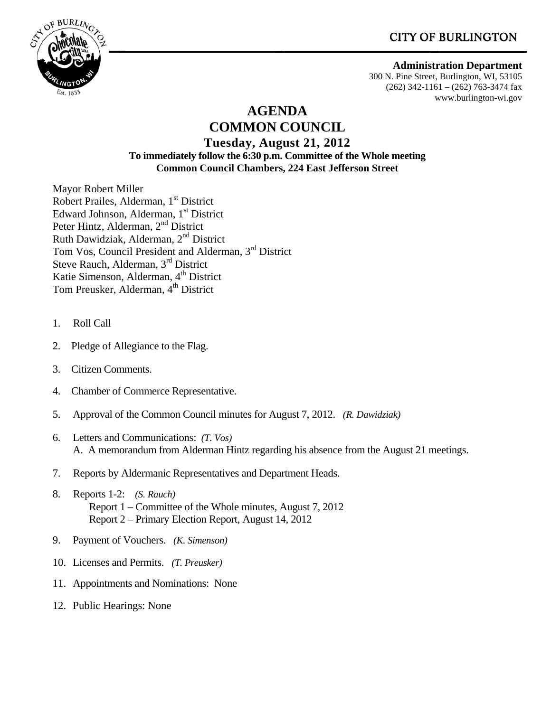# **CITY OF BURLINGTON**



#### **Administration Department**

300 N. Pine Street, Burlington, WI, 53105 (262) 342-1161 – (262) 763-3474 fax www.burlington-wi.gov

## **AGENDA COMMON COUNCIL**

#### **Tuesday, August 21, 2012 To immediately follow the 6:30 p.m. Committee of the Whole meeting Common Council Chambers, 224 East Jefferson Street**

Mayor Robert Miller Robert Prailes, Alderman, 1<sup>st</sup> District Edward Johnson, Alderman, 1<sup>st</sup> District Peter Hintz, Alderman, 2<sup>nd</sup> District Ruth Dawidziak, Alderman, 2nd District Tom Vos, Council President and Alderman, 3rd District Steve Rauch, Alderman, 3rd District Katie Simenson, Alderman, 4<sup>th</sup> District Tom Preusker, Alderman, 4<sup>th</sup> District

- 1. Roll Call
- 2. Pledge of Allegiance to the Flag.
- 3. Citizen Comments.
- 4. Chamber of Commerce Representative.
- 5. Approval of the Common Council minutes for August 7, 2012. *(R. Dawidziak)*
- 6. Letters and Communications: *(T. Vos)* A. A memorandum from Alderman Hintz regarding his absence from the August 21 meetings.
- 7. Reports by Aldermanic Representatives and Department Heads.
- 8. Reports 1-2: *(S. Rauch)* Report 1 – Committee of the Whole minutes, August 7, 2012 Report 2 – Primary Election Report, August 14, 2012
- 9. Payment of Vouchers. *(K. Simenson)*
- 10. Licenses and Permits. *(T. Preusker)*
- 11. Appointments and Nominations: None
- 12. Public Hearings: None